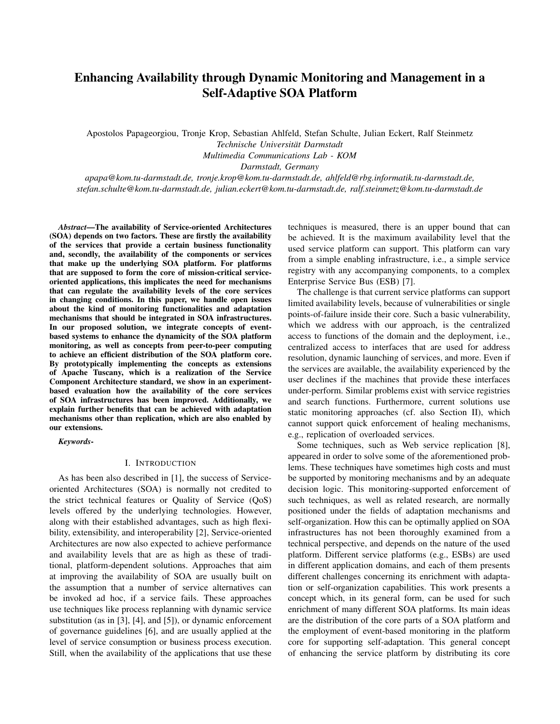# Enhancing Availability through Dynamic Monitoring and Management in a Self-Adaptive SOA Platform

Apostolos Papageorgiou, Tronje Krop, Sebastian Ahlfeld, Stefan Schulte, Julian Eckert, Ralf Steinmetz *Technische Universitat Darmstadt ¨*

*Multimedia Communications Lab - KOM*

*Darmstadt, Germany*

*apapa@kom.tu-darmstadt.de, tronje.krop@kom.tu-darmstadt.de, ahlfeld@rbg.informatik.tu-darmstadt.de, stefan.schulte@kom.tu-darmstadt.de, julian.eckert@kom.tu-darmstadt.de, ralf.steinmetz@kom.tu-darmstadt.de*

*Abstract*—The availability of Service-oriented Architectures (SOA) depends on two factors. These are firstly the availability of the services that provide a certain business functionality and, secondly, the availability of the components or services that make up the underlying SOA platform. For platforms that are supposed to form the core of mission-critical serviceoriented applications, this implicates the need for mechanisms that can regulate the availability levels of the core services in changing conditions. In this paper, we handle open issues about the kind of monitoring functionalities and adaptation mechanisms that should be integrated in SOA infrastructures. In our proposed solution, we integrate concepts of eventbased systems to enhance the dynamicity of the SOA platform monitoring, as well as concepts from peer-to-peer computing to achieve an efficient distribution of the SOA platform core. By prototypically implementing the concepts as extensions of Apache Tuscany, which is a realization of the Service Component Architecture standard, we show in an experimentbased evaluation how the availability of the core services of SOA infrastructures has been improved. Additionally, we explain further benefits that can be achieved with adaptation mechanisms other than replication, which are also enabled by our extensions.

*Keywords*-

### I. INTRODUCTION

As has been also described in [1], the success of Serviceoriented Architectures (SOA) is normally not credited to the strict technical features or Quality of Service (QoS) levels offered by the underlying technologies. However, along with their established advantages, such as high flexibility, extensibility, and interoperability [2], Service-oriented Architectures are now also expected to achieve performance and availability levels that are as high as these of traditional, platform-dependent solutions. Approaches that aim at improving the availability of SOA are usually built on the assumption that a number of service alternatives can be invoked ad hoc, if a service fails. These approaches use techniques like process replanning with dynamic service substitution (as in [3], [4], and [5]), or dynamic enforcement of governance guidelines [6], and are usually applied at the level of service consumption or business process execution. Still, when the availability of the applications that use these techniques is measured, there is an upper bound that can be achieved. It is the maximum availability level that the used service platform can support. This platform can vary from a simple enabling infrastructure, i.e., a simple service registry with any accompanying components, to a complex Enterprise Service Bus (ESB) [7].

The challenge is that current service platforms can support limited availability levels, because of vulnerabilities or single points-of-failure inside their core. Such a basic vulnerability, which we address with our approach, is the centralized access to functions of the domain and the deployment, i.e., centralized access to interfaces that are used for address resolution, dynamic launching of services, and more. Even if the services are available, the availability experienced by the user declines if the machines that provide these interfaces under-perform. Similar problems exist with service registries and search functions. Furthermore, current solutions use static monitoring approaches (cf. also Section II), which cannot support quick enforcement of healing mechanisms, e.g., replication of overloaded services.

Some techniques, such as Web service replication [8], appeared in order to solve some of the aforementioned problems. These techniques have sometimes high costs and must be supported by monitoring mechanisms and by an adequate decision logic. This monitoring-supported enforcement of such techniques, as well as related research, are normally positioned under the fields of adaptation mechanisms and self-organization. How this can be optimally applied on SOA infrastructures has not been thoroughly examined from a technical perspective, and depends on the nature of the used platform. Different service platforms (e.g., ESBs) are used in different application domains, and each of them presents different challenges concerning its enrichment with adaptation or self-organization capabilities. This work presents a concept which, in its general form, can be used for such enrichment of many different SOA platforms. Its main ideas are the distribution of the core parts of a SOA platform and the employment of event-based monitoring in the platform core for supporting self-adaptation. This general concept of enhancing the service platform by distributing its core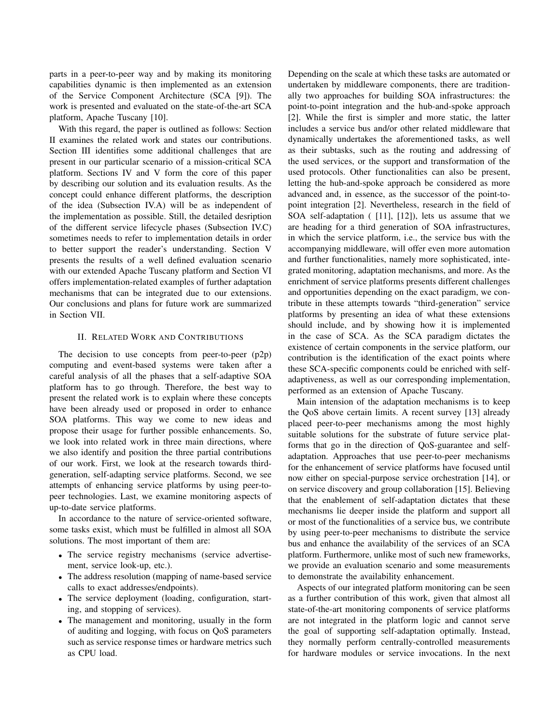parts in a peer-to-peer way and by making its monitoring capabilities dynamic is then implemented as an extension of the Service Component Architecture (SCA [9]). The work is presented and evaluated on the state-of-the-art SCA platform, Apache Tuscany [10].

With this regard, the paper is outlined as follows: Section II examines the related work and states our contributions. Section III identifies some additional challenges that are present in our particular scenario of a mission-critical SCA platform. Sections IV and V form the core of this paper by describing our solution and its evaluation results. As the concept could enhance different platforms, the description of the idea (Subsection IV.A) will be as independent of the implementation as possible. Still, the detailed desription of the different service lifecycle phases (Subsection IV.C) sometimes needs to refer to implementation details in order to better support the reader's understanding. Section V presents the results of a well defined evaluation scenario with our extended Apache Tuscany platform and Section VI offers implementation-related examples of further adaptation mechanisms that can be integrated due to our extensions. Our conclusions and plans for future work are summarized in Section VII.

### II. RELATED WORK AND CONTRIBUTIONS

The decision to use concepts from peer-to-peer  $(p2p)$ computing and event-based systems were taken after a careful analysis of all the phases that a self-adaptive SOA platform has to go through. Therefore, the best way to present the related work is to explain where these concepts have been already used or proposed in order to enhance SOA platforms. This way we come to new ideas and propose their usage for further possible enhancements. So, we look into related work in three main directions, where we also identify and position the three partial contributions of our work. First, we look at the research towards thirdgeneration, self-adapting service platforms. Second, we see attempts of enhancing service platforms by using peer-topeer technologies. Last, we examine monitoring aspects of up-to-date service platforms.

In accordance to the nature of service-oriented software, some tasks exist, which must be fulfilled in almost all SOA solutions. The most important of them are:

- The service registry mechanisms (service advertisement, service look-up, etc.).
- The address resolution (mapping of name-based service) calls to exact addresses/endpoints).
- The service deployment (loading, configuration, starting, and stopping of services).
- The management and monitoring, usually in the form of auditing and logging, with focus on QoS parameters such as service response times or hardware metrics such as CPU load.

Depending on the scale at which these tasks are automated or undertaken by middleware components, there are traditionally two approaches for building SOA infrastructures: the point-to-point integration and the hub-and-spoke approach [2]. While the first is simpler and more static, the latter includes a service bus and/or other related middleware that dynamically undertakes the aforementioned tasks, as well as their subtasks, such as the routing and addressing of the used services, or the support and transformation of the used protocols. Other functionalities can also be present, letting the hub-and-spoke approach be considered as more advanced and, in essence, as the successor of the point-topoint integration [2]. Nevertheless, research in the field of SOA self-adaptation ( [11], [12]), lets us assume that we are heading for a third generation of SOA infrastructures, in which the service platform, i.e., the service bus with the accompanying middleware, will offer even more automation and further functionalities, namely more sophisticated, integrated monitoring, adaptation mechanisms, and more. As the enrichment of service platforms presents different challenges and opportunities depending on the exact paradigm, we contribute in these attempts towards "third-generation" service platforms by presenting an idea of what these extensions should include, and by showing how it is implemented in the case of SCA. As the SCA paradigm dictates the existence of certain components in the service platform, our contribution is the identification of the exact points where these SCA-specific components could be enriched with selfadaptiveness, as well as our corresponding implementation, performed as an extension of Apache Tuscany.

Main intension of the adaptation mechanisms is to keep the QoS above certain limits. A recent survey [13] already placed peer-to-peer mechanisms among the most highly suitable solutions for the substrate of future service platforms that go in the direction of QoS-guarantee and selfadaptation. Approaches that use peer-to-peer mechanisms for the enhancement of service platforms have focused until now either on special-purpose service orchestration [14], or on service discovery and group collaboration [15]. Believing that the enablement of self-adaptation dictates that these mechanisms lie deeper inside the platform and support all or most of the functionalities of a service bus, we contribute by using peer-to-peer mechanisms to distribute the service bus and enhance the availability of the services of an SCA platform. Furthermore, unlike most of such new frameworks, we provide an evaluation scenario and some measurements to demonstrate the availability enhancement.

Aspects of our integrated platform monitoring can be seen as a further contribution of this work, given that almost all state-of-the-art monitoring components of service platforms are not integrated in the platform logic and cannot serve the goal of supporting self-adaptation optimally. Instead, they normally perform centrally-controlled measurements for hardware modules or service invocations. In the next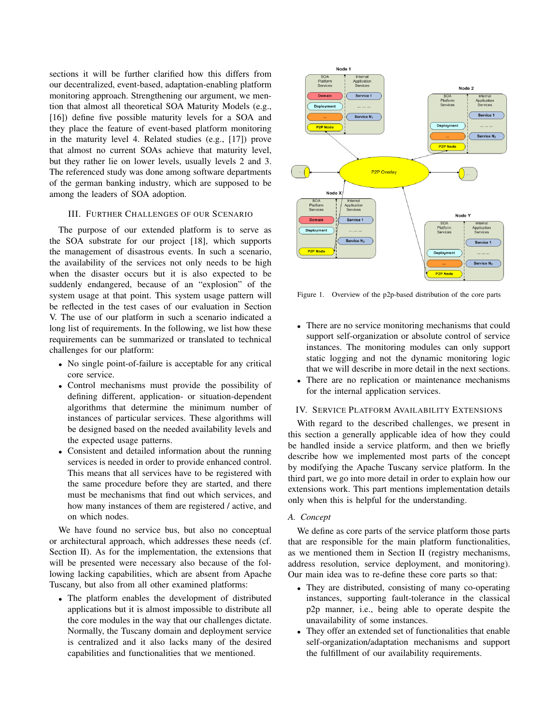sections it will be further clarified how this differs from our decentralized, event-based, adaptation-enabling platform monitoring approach. Strengthening our argument, we mention that almost all theoretical SOA Maturity Models (e.g., [16]) define five possible maturity levels for a SOA and they place the feature of event-based platform monitoring in the maturity level 4. Related studies (e.g., [17]) prove that almost no current SOAs achieve that maturity level, but they rather lie on lower levels, usually levels 2 and 3. The referenced study was done among software departments of the german banking industry, which are supposed to be among the leaders of SOA adoption.

### III. FURTHER CHALLENGES OF OUR SCENARIO

The purpose of our extended platform is to serve as the SOA substrate for our project [18], which supports the management of disastrous events. In such a scenario, the availability of the services not only needs to be high when the disaster occurs but it is also expected to be suddenly endangered, because of an "explosion" of the system usage at that point. This system usage pattern will be reflected in the test cases of our evaluation in Section V. The use of our platform in such a scenario indicated a long list of requirements. In the following, we list how these requirements can be summarized or translated to technical challenges for our platform:

- No single point-of-failure is acceptable for any critical core service.
- Control mechanisms must provide the possibility of defining different, application- or situation-dependent algorithms that determine the minimum number of instances of particular services. These algorithms will be designed based on the needed availability levels and the expected usage patterns.
- Consistent and detailed information about the running services is needed in order to provide enhanced control. This means that all services have to be registered with the same procedure before they are started, and there must be mechanisms that find out which services, and how many instances of them are registered / active, and on which nodes.

We have found no service bus, but also no conceptual or architectural approach, which addresses these needs (cf. Section II). As for the implementation, the extensions that will be presented were necessary also because of the following lacking capabilities, which are absent from Apache Tuscany, but also from all other examined platforms:

• The platform enables the development of distributed applications but it is almost impossible to distribute all the core modules in the way that our challenges dictate. Normally, the Tuscany domain and deployment service is centralized and it also lacks many of the desired capabilities and functionalities that we mentioned.



Figure 1. Overview of the p2p-based distribution of the core parts

- There are no service monitoring mechanisms that could support self-organization or absolute control of service instances. The monitoring modules can only support static logging and not the dynamic monitoring logic that we will describe in more detail in the next sections.
- There are no replication or maintenance mechanisms for the internal application services.

#### IV. SERVICE PLATFORM AVAILABILITY EXTENSIONS

With regard to the described challenges, we present in this section a generally applicable idea of how they could be handled inside a service platform, and then we briefly describe how we implemented most parts of the concept by modifying the Apache Tuscany service platform. In the third part, we go into more detail in order to explain how our extensions work. This part mentions implementation details only when this is helpful for the understanding.

### *A. Concept*

We define as core parts of the service platform those parts that are responsible for the main platform functionalities, as we mentioned them in Section II (registry mechanisms, address resolution, service deployment, and monitoring). Our main idea was to re-define these core parts so that:

- They are distributed, consisting of many co-operating instances, supporting fault-tolerance in the classical p2p manner, i.e., being able to operate despite the unavailability of some instances.
- They offer an extended set of functionalities that enable self-organization/adaptation mechanisms and support the fulfillment of our availability requirements.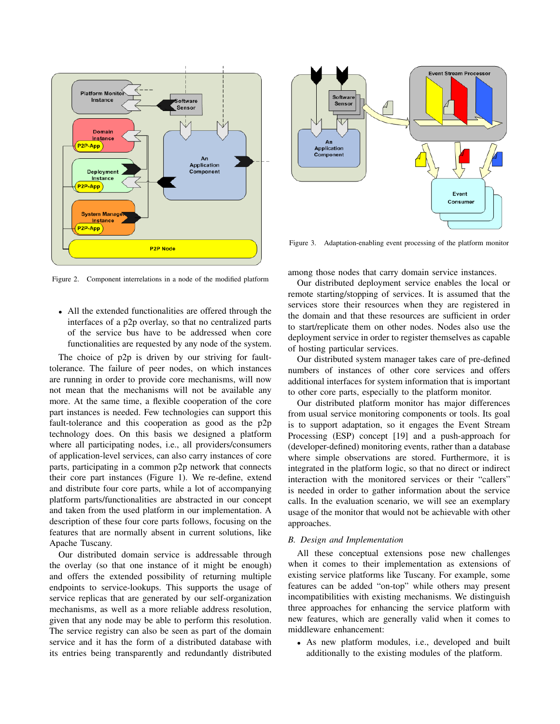

Figure 2. Component interrelations in a node of the modified platform

• All the extended functionalities are offered through the interfaces of a p2p overlay, so that no centralized parts of the service bus have to be addressed when core functionalities are requested by any node of the system.

The choice of p2p is driven by our striving for faulttolerance. The failure of peer nodes, on which instances are running in order to provide core mechanisms, will now not mean that the mechanisms will not be available any more. At the same time, a flexible cooperation of the core part instances is needed. Few technologies can support this fault-tolerance and this cooperation as good as the p2p technology does. On this basis we designed a platform where all participating nodes, i.e., all providers/consumers of application-level services, can also carry instances of core parts, participating in a common p2p network that connects their core part instances (Figure 1). We re-define, extend and distribute four core parts, while a lot of accompanying platform parts/functionalities are abstracted in our concept and taken from the used platform in our implementation. A description of these four core parts follows, focusing on the features that are normally absent in current solutions, like Apache Tuscany.

Our distributed domain service is addressable through the overlay (so that one instance of it might be enough) and offers the extended possibility of returning multiple endpoints to service-lookups. This supports the usage of service replicas that are generated by our self-organization mechanisms, as well as a more reliable address resolution, given that any node may be able to perform this resolution. The service registry can also be seen as part of the domain service and it has the form of a distributed database with its entries being transparently and redundantly distributed



Figure 3. Adaptation-enabling event processing of the platform monitor

among those nodes that carry domain service instances.

Our distributed deployment service enables the local or remote starting/stopping of services. It is assumed that the services store their resources when they are registered in the domain and that these resources are sufficient in order to start/replicate them on other nodes. Nodes also use the deployment service in order to register themselves as capable of hosting particular services.

Our distributed system manager takes care of pre-defined numbers of instances of other core services and offers additional interfaces for system information that is important to other core parts, especially to the platform monitor.

Our distributed platform monitor has major differences from usual service monitoring components or tools. Its goal is to support adaptation, so it engages the Event Stream Processing (ESP) concept [19] and a push-approach for (developer-defined) monitoring events, rather than a database where simple observations are stored. Furthermore, it is integrated in the platform logic, so that no direct or indirect interaction with the monitored services or their "callers" is needed in order to gather information about the service calls. In the evaluation scenario, we will see an exemplary usage of the monitor that would not be achievable with other approaches.

# *B. Design and Implementation*

All these conceptual extensions pose new challenges when it comes to their implementation as extensions of existing service platforms like Tuscany. For example, some features can be added "on-top" while others may present incompatibilities with existing mechanisms. We distinguish three approaches for enhancing the service platform with new features, which are generally valid when it comes to middleware enhancement:

• As new platform modules, i.e., developed and built additionally to the existing modules of the platform.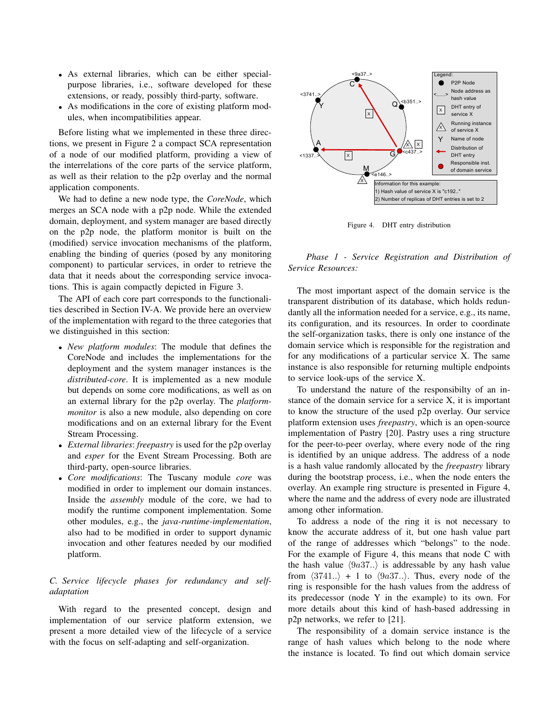- As external libraries, which can be either specialpurpose libraries, i.e., software developed for these extensions, or ready, possibly third-party, software.
- As modifications in the core of existing platform modules, when incompatibilities appear.

Before listing what we implemented in these three directions, we present in Figure 2 a compact SCA representation of a node of our modified platform, providing a view of the interrelations of the core parts of the service platform, as well as their relation to the p2p overlay and the normal application components.

We had to define a new node type, the *CoreNode*, which merges an SCA node with a p2p node. While the extended domain, deployment, and system manager are based directly on the p2p node, the platform monitor is built on the (modified) service invocation mechanisms of the platform, enabling the binding of queries (posed by any monitoring component) to particular services, in order to retrieve the data that it needs about the corresponding service invocations. This is again compactly depicted in Figure 3.

The API of each core part corresponds to the functionalities described in Section IV-A. We provide here an overview of the implementation with regard to the three categories that we distinguished in this section:

- *New platform modules*: The module that defines the CoreNode and includes the implementations for the deployment and the system manager instances is the *distributed-core*. It is implemented as a new module but depends on some core modifications, as well as on an external library for the p2p overlay. The *platformmonitor* is also a new module, also depending on core modifications and on an external library for the Event Stream Processing.
- *External libraries*: *freepastry* is used for the p2p overlay and *esper* for the Event Stream Processing. Both are third-party, open-source libraries.
- *Core modifications*: The Tuscany module *core* was modified in order to implement our domain instances. Inside the *assembly* module of the core, we had to modify the runtime component implementation. Some other modules, e.g., the *java-runtime-implementation*, also had to be modified in order to support dynamic invocation and other features needed by our modified platform.

# *C. Service lifecycle phases for redundancy and selfadaptation*

With regard to the presented concept, design and implementation of our service platform extension, we present a more detailed view of the lifecycle of a service with the focus on self-adapting and self-organization.



Figure 4. DHT entry distribution

*Phase 1 - Service Registration and Distribution of Service Resources:*

The most important aspect of the domain service is the transparent distribution of its database, which holds redundantly all the information needed for a service, e.g., its name, its configuration, and its resources. In order to coordinate the self-organization tasks, there is only one instance of the domain service which is responsible for the registration and for any modifications of a particular service X. The same instance is also responsible for returning multiple endpoints to service look-ups of the service X.

To understand the nature of the responsibilty of an instance of the domain service for a service X, it is important to know the structure of the used p2p overlay. Our service platform extension uses *freepastry*, which is an open-source implementation of Pastry [20]. Pastry uses a ring structure for the peer-to-peer overlay, where every node of the ring is identified by an unique address. The address of a node is a hash value randomly allocated by the *freepastry* library during the bootstrap process, i.e., when the node enters the overlay. An example ring structure is presented in Figure 4, where the name and the address of every node are illustrated among other information.

To address a node of the ring it is not necessary to know the accurate address of it, but one hash value part of the range of addresses which "belongs" to the node. For the example of Figure 4, this means that node C with the hash value  $\langle 9a37..\rangle$  is addressable by any hash value from  $\langle 3741.. \rangle$  + 1 to  $\langle 9a37.. \rangle$ . Thus, every node of the ring is responsible for the hash values from the address of its predecessor (node Y in the example) to its own. For more details about this kind of hash-based addressing in p2p networks, we refer to [21].

The responsibility of a domain service instance is the range of hash values which belong to the node where the instance is located. To find out which domain service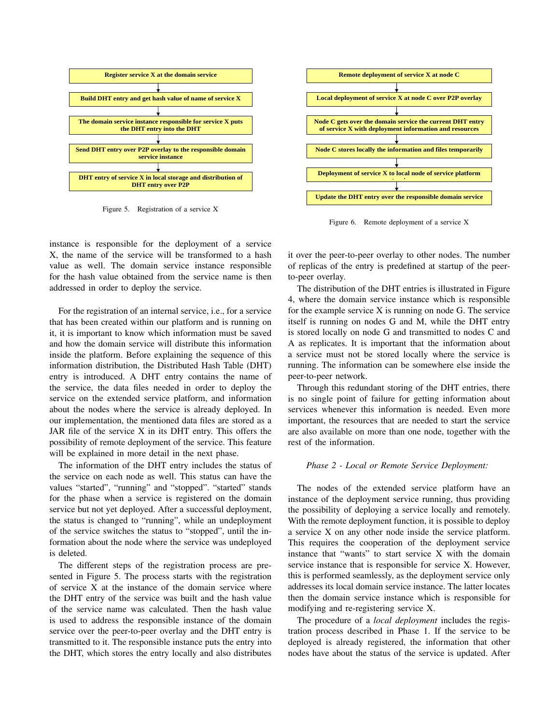

Figure 5. Registration of a service X

X, the name of the service will be transformed to a hash for the hash value obtained from the service name is then instance is responsible for the deployment of a service value as well. The domain service instance responsible addressed in order to deploy the service.

For the registration of an internal service, i.e., for a service **Node C stores locally the information and files temporarily**  it, it is important to know which information must be saved inside the platform. Before explaining the sequence of this entry is introduced. A DHT entry contains the name of that has been created within our platform and is running on and how the domain service will distribute this information information distribution, the Distributed Hash Table (DHT) the service, the data files needed in order to deploy the service on the extended service platform, and information about the nodes where the service is already deployed. In our implementation, the mentioned data files are stored as a JAR file of the service X in its DHT entry. This offers the possibility of remote deployment of the service. This feature will be explained in more detail in the next phase.

The information of the DHT entry includes the status of the service on each node as well. This status can have the values "started", "running" and "stopped". "started" stands for the phase when a service is registered on the domain service but not yet deployed. After a successful deployment, the status is changed to "running", while an undeployment of the service switches the status to "stopped", until the information about the node where the service was undeployed is deleted.

The different steps of the registration process are presented in Figure 5. The process starts with the registration of service X at the instance of the domain service where the DHT entry of the service was built and the hash value of the service name was calculated. Then the hash value is used to address the responsible instance of the domain service over the peer-to-peer overlay and the DHT entry is transmitted to it. The responsible instance puts the entry into the DHT, which stores the entry locally and also distributes



Figure 6. Remote deployment of a service X

it over the peer-to-peer overlay to other nodes. The number of replicas of the entry is predefined at startup of the peerto-peer overlay.

The distribution of the DHT entries is illustrated in Figure 4, where the domain service instance which is responsible for the example service X is running on node G. The service itself is running on nodes G and M, while the DHT entry is stored locally on node G and transmitted to nodes C and A as replicates. It is important that the information about a service must not be stored locally where the service is running. The information can be somewhere else inside the peer-to-peer network.

Through this redundant storing of the DHT entries, there is no single point of failure for getting information about services whenever this information is needed. Even more important, the resources that are needed to start the service are also available on more than one node, together with the rest of the information.

#### *Phase 2 - Local or Remote Service Deployment:*

The nodes of the extended service platform have an instance of the deployment service running, thus providing the possibility of deploying a service locally and remotely. With the remote deployment function, it is possible to deploy a service X on any other node inside the service platform. This requires the cooperation of the deployment service instance that "wants" to start service X with the domain service instance that is responsible for service X. However, this is performed seamlessly, as the deployment service only addresses its local domain service instance. The latter locates then the domain service instance which is responsible for modifying and re-registering service X.

The procedure of a *local deployment* includes the registration process described in Phase 1. If the service to be deployed is already registered, the information that other nodes have about the status of the service is updated. After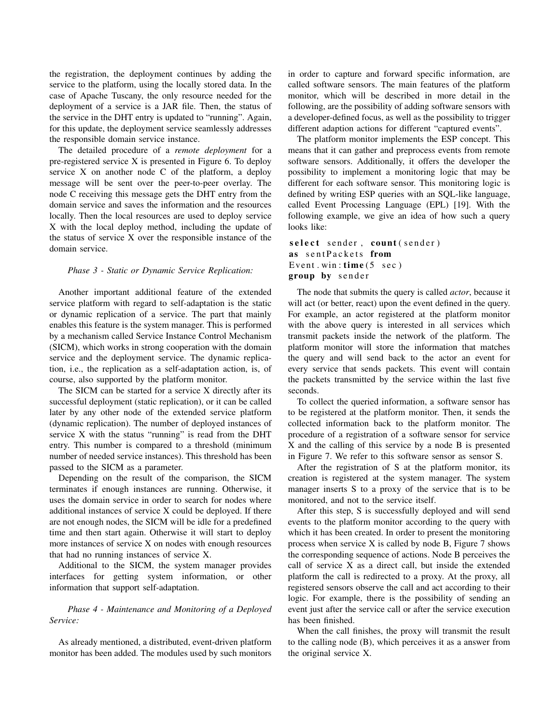the registration, the deployment continues by adding the service to the platform, using the locally stored data. In the case of Apache Tuscany, the only resource needed for the deployment of a service is a JAR file. Then, the status of the service in the DHT entry is updated to "running". Again, for this update, the deployment service seamlessly addresses the responsible domain service instance.

The detailed procedure of a *remote deployment* for a pre-registered service X is presented in Figure 6. To deploy service X on another node C of the platform, a deploy message will be sent over the peer-to-peer overlay. The node C receiving this message gets the DHT entry from the domain service and saves the information and the resources locally. Then the local resources are used to deploy service X with the local deploy method, including the update of the status of service X over the responsible instance of the domain service.

### *Phase 3 - Static or Dynamic Service Replication:*

Another important additional feature of the extended service platform with regard to self-adaptation is the static or dynamic replication of a service. The part that mainly enables this feature is the system manager. This is performed by a mechanism called Service Instance Control Mechanism (SICM), which works in strong cooperation with the domain service and the deployment service. The dynamic replication, i.e., the replication as a self-adaptation action, is, of course, also supported by the platform monitor.

The SICM can be started for a service X directly after its successful deployment (static replication), or it can be called later by any other node of the extended service platform (dynamic replication). The number of deployed instances of service X with the status "running" is read from the DHT entry. This number is compared to a threshold (minimum number of needed service instances). This threshold has been passed to the SICM as a parameter.

Depending on the result of the comparison, the SICM terminates if enough instances are running. Otherwise, it uses the domain service in order to search for nodes where additional instances of service X could be deployed. If there are not enough nodes, the SICM will be idle for a predefined time and then start again. Otherwise it will start to deploy more instances of service X on nodes with enough resources that had no running instances of service X.

Additional to the SICM, the system manager provides interfaces for getting system information, or other information that support self-adaptation.

# *Phase 4 - Maintenance and Monitoring of a Deployed Service:*

As already mentioned, a distributed, event-driven platform monitor has been added. The modules used by such monitors in order to capture and forward specific information, are called software sensors. The main features of the platform monitor, which will be described in more detail in the following, are the possibility of adding software sensors with a developer-defined focus, as well as the possibility to trigger different adaption actions for different "captured events".

The platform monitor implements the ESP concept. This means that it can gather and preprocess events from remote software sensors. Additionally, it offers the developer the possibility to implement a monitoring logic that may be different for each software sensor. This monitoring logic is defined by writing ESP queries with an SQL-like language, called Event Processing Language (EPL) [19]. With the following example, we give an idea of how such a query looks like:

```
select sender, count (sender)
as sentPackets from
Event. win: time(5 \text{ sec})group by sender
```
The node that submits the query is called *actor*, because it will act (or better, react) upon the event defined in the query. For example, an actor registered at the platform monitor with the above query is interested in all services which transmit packets inside the network of the platform. The platform monitor will store the information that matches the query and will send back to the actor an event for every service that sends packets. This event will contain the packets transmitted by the service within the last five seconds.

To collect the queried information, a software sensor has to be registered at the platform monitor. Then, it sends the collected information back to the platform monitor. The procedure of a registration of a software sensor for service X and the calling of this service by a node B is presented in Figure 7. We refer to this software sensor as sensor S.

After the registration of S at the platform monitor, its creation is registered at the system manager. The system manager inserts S to a proxy of the service that is to be monitored, and not to the service itself.

After this step, S is successfully deployed and will send events to the platform monitor according to the query with which it has been created. In order to present the monitoring process when service X is called by node B, Figure 7 shows the corresponding sequence of actions. Node B perceives the call of service X as a direct call, but inside the extended platform the call is redirected to a proxy. At the proxy, all registered sensors observe the call and act according to their logic. For example, there is the possibility of sending an event just after the service call or after the service execution has been finished.

When the call finishes, the proxy will transmit the result to the calling node (B), which perceives it as a answer from the original service X.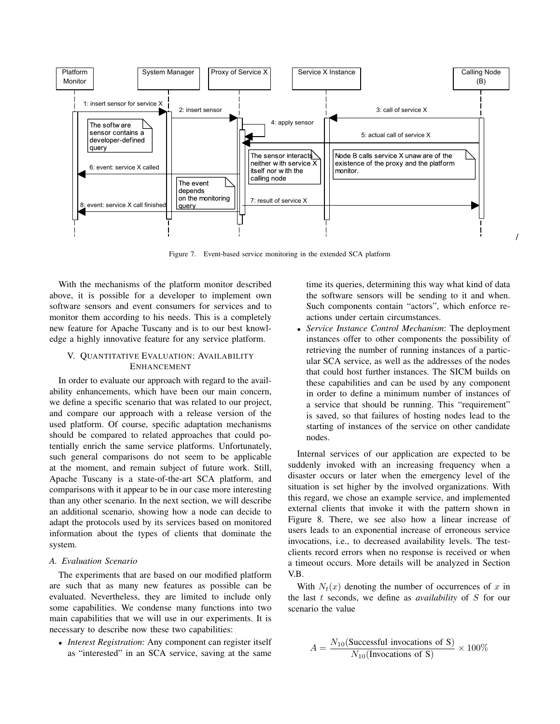

Figure 7. Event-based service monitoring in the extended SCA platform

With the mechanisms of the platform monitor described above, it is possible for a developer to implement own software sensors and event consumers for services and to monitor them according to his needs. This is a completely new feature for Apache Tuscany and is to our best knowledge a highly innovative feature for any service platform.

# V. QUANTITATIVE EVALUATION: AVAILABILITY ENHANCEMENT

In order to evaluate our approach with regard to the availability enhancements, which have been our main concern, we define a specific scenario that was related to our project, and compare our approach with a release version of the used platform. Of course, specific adaptation mechanisms should be compared to related approaches that could potentially enrich the same service platforms. Unfortunately, such general comparisons do not seem to be applicable at the moment, and remain subject of future work. Still, Apache Tuscany is a state-of-the-art SCA platform, and comparisons with it appear to be in our case more interesting than any other scenario. In the next section, we will describe an additional scenario, showing how a node can decide to adapt the protocols used by its services based on monitored information about the types of clients that dominate the system.

#### *A. Evaluation Scenario*

The experiments that are based on our modified platform are such that as many new features as possible can be evaluated. Nevertheless, they are limited to include only some capabilities. We condense many functions into two main capabilities that we will use in our experiments. It is necessary to describe now these two capabilities:

• *Interest Registration*: Any component can register itself as "interested" in an SCA service, saving at the same time its queries, determining this way what kind of data the software sensors will be sending to it and when. Such components contain "actors", which enforce reactions under certain circumstances.

• *Service Instance Control Mechanism*: The deployment instances offer to other components the possibility of retrieving the number of running instances of a particular SCA service, as well as the addresses of the nodes that could host further instances. The SICM builds on these capabilities and can be used by any component in order to define a minimum number of instances of a service that should be running. This "requirement" is saved, so that failures of hosting nodes lead to the starting of instances of the service on other candidate nodes.

Internal services of our application are expected to be suddenly invoked with an increasing frequency when a disaster occurs or later when the emergency level of the situation is set higher by the involved organizations. With this regard, we chose an example service, and implemented external clients that invoke it with the pattern shown in Figure 8. There, we see also how a linear increase of users leads to an exponential increase of erroneous service invocations, i.e., to decreased availability levels. The testclients record errors when no response is received or when a timeout occurs. More details will be analyzed in Section V.B.

With  $N_t(x)$  denoting the number of occurrences of x in the last t seconds, we define as *availability* of S for our scenario the value

$$
A = \frac{N_{10}(\text{Successful invocations of S})}{N_{10}(\text{Invocations of S})} \times 100\%
$$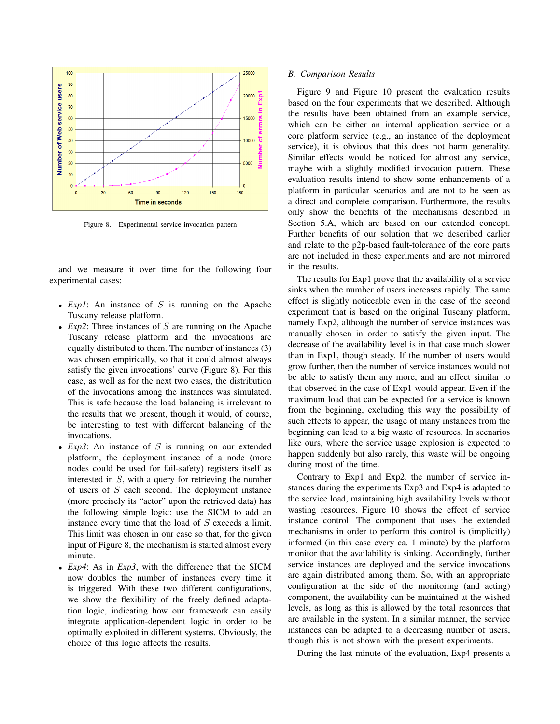

Figure 8. Experimental service invocation pattern

and we measure it over time for the following four experimental cases:

- *Exp1*: An instance of S is running on the Apache Tuscany release platform.
- *Exp2*: Three instances of S are running on the Apache Tuscany release platform and the invocations are equally distributed to them. The number of instances (3) was chosen empirically, so that it could almost always satisfy the given invocations' curve (Figure 8). For this case, as well as for the next two cases, the distribution of the invocations among the instances was simulated. This is safe because the load balancing is irrelevant to the results that we present, though it would, of course, be interesting to test with different balancing of the invocations.
- $Exp3$ : An instance of S is running on our extended platform, the deployment instance of a node (more nodes could be used for fail-safety) registers itself as interested in S, with a query for retrieving the number of users of S each second. The deployment instance (more precisely its "actor" upon the retrieved data) has the following simple logic: use the SICM to add an instance every time that the load of S exceeds a limit. This limit was chosen in our case so that, for the given input of Figure 8, the mechanism is started almost every minute.
- *Exp4*: As in *Exp3*, with the difference that the SICM now doubles the number of instances every time it is triggered. With these two different configurations, we show the flexibility of the freely defined adaptation logic, indicating how our framework can easily integrate application-dependent logic in order to be optimally exploited in different systems. Obviously, the choice of this logic affects the results.

### *B. Comparison Results*

Figure 9 and Figure 10 present the evaluation results based on the four experiments that we described. Although the results have been obtained from an example service, which can be either an internal application service or a core platform service (e.g., an instance of the deployment service), it is obvious that this does not harm generality. Similar effects would be noticed for almost any service, maybe with a slightly modified invocation pattern. These evaluation results intend to show some enhancements of a platform in particular scenarios and are not to be seen as a direct and complete comparison. Furthermore, the results only show the benefits of the mechanisms described in Section 5.A, which are based on our extended concept. Further benefits of our solution that we described earlier and relate to the p2p-based fault-tolerance of the core parts are not included in these experiments and are not mirrored in the results.

The results for Exp1 prove that the availability of a service sinks when the number of users increases rapidly. The same effect is slightly noticeable even in the case of the second experiment that is based on the original Tuscany platform, namely Exp2, although the number of service instances was manually chosen in order to satisfy the given input. The decrease of the availability level is in that case much slower than in Exp1, though steady. If the number of users would grow further, then the number of service instances would not be able to satisfy them any more, and an effect similar to that observed in the case of Exp1 would appear. Even if the maximum load that can be expected for a service is known from the beginning, excluding this way the possibility of such effects to appear, the usage of many instances from the beginning can lead to a big waste of resources. In scenarios like ours, where the service usage explosion is expected to happen suddenly but also rarely, this waste will be ongoing during most of the time.

Contrary to Exp1 and Exp2, the number of service instances during the experiments Exp3 and Exp4 is adapted to the service load, maintaining high availability levels without wasting resources. Figure 10 shows the effect of service instance control. The component that uses the extended mechanisms in order to perform this control is (implicitly) informed (in this case every ca. 1 minute) by the platform monitor that the availability is sinking. Accordingly, further service instances are deployed and the service invocations are again distributed among them. So, with an appropriate configuration at the side of the monitoring (and acting) component, the availability can be maintained at the wished levels, as long as this is allowed by the total resources that are available in the system. In a similar manner, the service instances can be adapted to a decreasing number of users, though this is not shown with the present experiments.

During the last minute of the evaluation, Exp4 presents a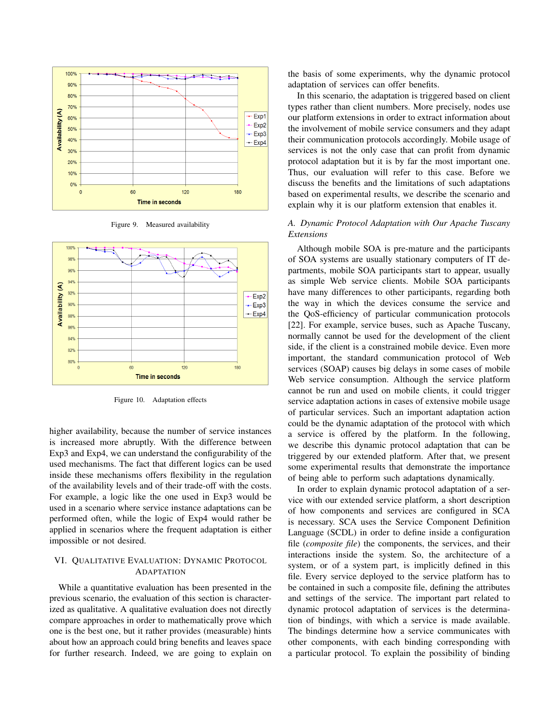

Figure 9. Measured availability



Figure 10. Adaptation effects

higher availability, because the number of service instances is increased more abruptly. With the difference between Exp3 and Exp4, we can understand the configurability of the used mechanisms. The fact that different logics can be used inside these mechanisms offers flexibility in the regulation of the availability levels and of their trade-off with the costs. For example, a logic like the one used in Exp3 would be used in a scenario where service instance adaptations can be performed often, while the logic of Exp4 would rather be applied in scenarios where the frequent adaptation is either impossible or not desired.

# VI. QUALITATIVE EVALUATION: DYNAMIC PROTOCOL ADAPTATION

While a quantitative evaluation has been presented in the previous scenario, the evaluation of this section is characterized as qualitative. A qualitative evaluation does not directly compare approaches in order to mathematically prove which one is the best one, but it rather provides (measurable) hints about how an approach could bring benefits and leaves space for further research. Indeed, we are going to explain on the basis of some experiments, why the dynamic protocol adaptation of services can offer benefits.

In this scenario, the adaptation is triggered based on client types rather than client numbers. More precisely, nodes use our platform extensions in order to extract information about the involvement of mobile service consumers and they adapt their communication protocols accordingly. Mobile usage of services is not the only case that can profit from dynamic protocol adaptation but it is by far the most important one. Thus, our evaluation will refer to this case. Before we discuss the benefits and the limitations of such adaptations based on experimental results, we describe the scenario and explain why it is our platform extension that enables it.

# *A. Dynamic Protocol Adaptation with Our Apache Tuscany Extensions*

Although mobile SOA is pre-mature and the participants of SOA systems are usually stationary computers of IT departments, mobile SOA participants start to appear, usually as simple Web service clients. Mobile SOA participants have many differences to other participants, regarding both the way in which the devices consume the service and the QoS-efficiency of particular communication protocols [22]. For example, service buses, such as Apache Tuscany, normally cannot be used for the development of the client side, if the client is a constrained mobile device. Even more important, the standard communication protocol of Web services (SOAP) causes big delays in some cases of mobile Web service consumption. Although the service platform cannot be run and used on mobile clients, it could trigger service adaptation actions in cases of extensive mobile usage of particular services. Such an important adaptation action could be the dynamic adaptation of the protocol with which a service is offered by the platform. In the following, we describe this dynamic protocol adaptation that can be triggered by our extended platform. After that, we present some experimental results that demonstrate the importance of being able to perform such adaptations dynamically.

In order to explain dynamic protocol adaptation of a service with our extended service platform, a short description of how components and services are configured in SCA is necessary. SCA uses the Service Component Definition Language (SCDL) in order to define inside a configuration file (*composite file*) the components, the services, and their interactions inside the system. So, the architecture of a system, or of a system part, is implicitly defined in this file. Every service deployed to the service platform has to be contained in such a composite file, defining the attributes and settings of the service. The important part related to dynamic protocol adaptation of services is the determination of bindings, with which a service is made available. The bindings determine how a service communicates with other components, with each binding corresponding with a particular protocol. To explain the possibility of binding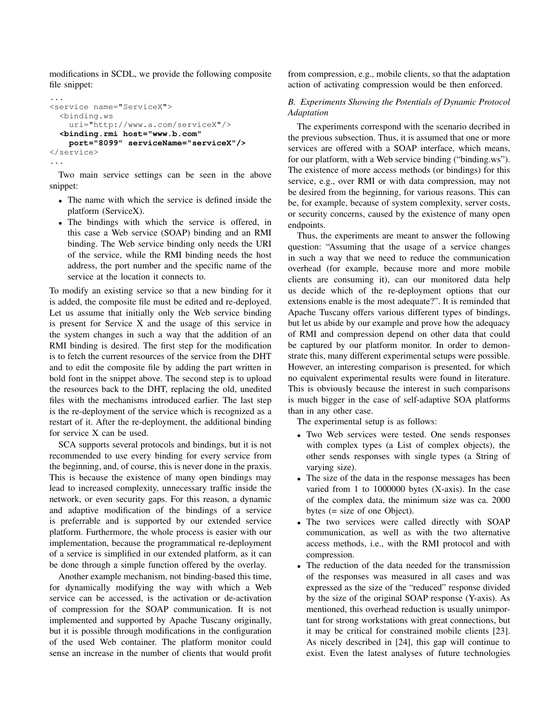modifications in SCDL, we provide the following composite file snippet:

```
...
<service name="ServiceX">
  <binding.ws
    uri="http://www.a.com/serviceX"/>
  <binding.rmi host="www.b.com"
   port="8099" serviceName="serviceX"/>
</service>
...
```
Two main service settings can be seen in the above snippet:

- The name with which the service is defined inside the platform (ServiceX).
- The bindings with which the service is offered, in this case a Web service (SOAP) binding and an RMI binding. The Web service binding only needs the URI of the service, while the RMI binding needs the host address, the port number and the specific name of the service at the location it connects to.

To modify an existing service so that a new binding for it is added, the composite file must be edited and re-deployed. Let us assume that initially only the Web service binding is present for Service X and the usage of this service in the system changes in such a way that the addition of an RMI binding is desired. The first step for the modification is to fetch the current resources of the service from the DHT and to edit the composite file by adding the part written in bold font in the snippet above. The second step is to upload the resources back to the DHT, replacing the old, unedited files with the mechanisms introduced earlier. The last step is the re-deployment of the service which is recognized as a restart of it. After the re-deployment, the additional binding for service X can be used.

SCA supports several protocols and bindings, but it is not recommended to use every binding for every service from the beginning, and, of course, this is never done in the praxis. This is because the existence of many open bindings may lead to increased complexity, unnecessary traffic inside the network, or even security gaps. For this reason, a dynamic and adaptive modification of the bindings of a service is preferrable and is supported by our extended service platform. Furthermore, the whole process is easier with our implementation, because the programmatical re-deployment of a service is simplified in our extended platform, as it can be done through a simple function offered by the overlay.

Another example mechanism, not binding-based this time, for dynamically modifying the way with which a Web service can be accessed, is the activation or de-activation of compression for the SOAP communication. It is not implemented and supported by Apache Tuscany originally, but it is possible through modifications in the configuration of the used Web container. The platform monitor could sense an increase in the number of clients that would profit from compression, e.g., mobile clients, so that the adaptation action of activating compression would be then enforced.

# *B. Experiments Showing the Potentials of Dynamic Protocol Adaptation*

The experiments correspond with the scenario decribed in the previous subsection. Thus, it is assumed that one or more services are offered with a SOAP interface, which means, for our platform, with a Web service binding ("binding.ws"). The existence of more access methods (or bindings) for this service, e.g., over RMI or with data compression, may not be desired from the beginning, for various reasons. This can be, for example, because of system complexity, server costs, or security concerns, caused by the existence of many open endpoints.

Thus, the experiments are meant to answer the following question: "Assuming that the usage of a service changes in such a way that we need to reduce the communication overhead (for example, because more and more mobile clients are consuming it), can our monitored data help us decide which of the re-deployment options that our extensions enable is the most adequate?". It is reminded that Apache Tuscany offers various different types of bindings, but let us abide by our example and prove how the adequacy of RMI and compression depend on other data that could be captured by our platform monitor. In order to demonstrate this, many different experimental setups were possible. However, an interesting comparison is presented, for which no equivalent experimental results were found in literature. This is obviously because the interest in such comparisons is much bigger in the case of self-adaptive SOA platforms than in any other case.

The experimental setup is as follows:

- Two Web services were tested. One sends responses with complex types (a List of complex objects), the other sends responses with single types (a String of varying size).
- The size of the data in the response messages has been varied from 1 to 1000000 bytes (X-axis). In the case of the complex data, the minimum size was ca. 2000 bytes (= size of one Object).
- The two services were called directly with SOAP communication, as well as with the two alternative access methods, i.e., with the RMI protocol and with compression.
- The reduction of the data needed for the transmission of the responses was measured in all cases and was expressed as the size of the "reduced" response divided by the size of the original SOAP response (Y-axis). As mentioned, this overhead reduction is usually unimportant for strong workstations with great connections, but it may be critical for constrained mobile clients [23]. As nicely described in [24], this gap will continue to exist. Even the latest analyses of future technologies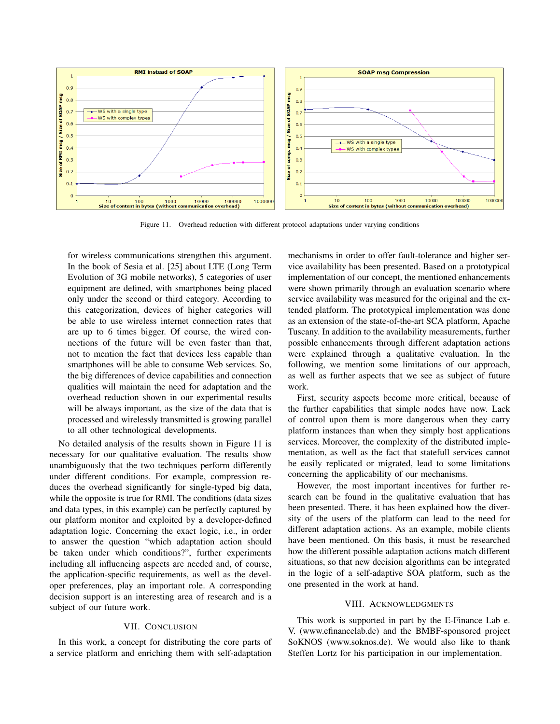

Figure 11. Overhead reduction with different protocol adaptations under varying conditions

for wireless communications strengthen this argument. In the book of Sesia et al. [25] about LTE (Long Term Evolution of 3G mobile networks), 5 categories of user equipment are defined, with smartphones being placed only under the second or third category. According to this categorization, devices of higher categories will be able to use wireless internet connection rates that are up to 6 times bigger. Of course, the wired connections of the future will be even faster than that, not to mention the fact that devices less capable than smartphones will be able to consume Web services. So, the big differences of device capabilities and connection qualities will maintain the need for adaptation and the overhead reduction shown in our experimental results will be always important, as the size of the data that is processed and wirelessly transmitted is growing parallel to all other technological developments.

No detailed analysis of the results shown in Figure 11 is necessary for our qualitative evaluation. The results show unambiguously that the two techniques perform differently under different conditions. For example, compression reduces the overhead significantly for single-typed big data, while the opposite is true for RMI. The conditions (data sizes and data types, in this example) can be perfectly captured by our platform monitor and exploited by a developer-defined adaptation logic. Concerning the exact logic, i.e., in order to answer the question "which adaptation action should be taken under which conditions?", further experiments including all influencing aspects are needed and, of course, the application-specific requirements, as well as the developer preferences, play an important role. A corresponding decision support is an interesting area of research and is a subject of our future work.

## VII. CONCLUSION

In this work, a concept for distributing the core parts of a service platform and enriching them with self-adaptation mechanisms in order to offer fault-tolerance and higher service availability has been presented. Based on a prototypical implementation of our concept, the mentioned enhancements were shown primarily through an evaluation scenario where service availability was measured for the original and the extended platform. The prototypical implementation was done as an extension of the state-of-the-art SCA platform, Apache Tuscany. In addition to the availability measurements, further possible enhancements through different adaptation actions were explained through a qualitative evaluation. In the following, we mention some limitations of our approach, as well as further aspects that we see as subject of future work.

First, security aspects become more critical, because of the further capabilities that simple nodes have now. Lack of control upon them is more dangerous when they carry platform instances than when they simply host applications services. Moreover, the complexity of the distributed implementation, as well as the fact that statefull services cannot be easily replicated or migrated, lead to some limitations concerning the applicability of our mechanisms.

However, the most important incentives for further research can be found in the qualitative evaluation that has been presented. There, it has been explained how the diversity of the users of the platform can lead to the need for different adaptation actions. As an example, mobile clients have been mentioned. On this basis, it must be researched how the different possible adaptation actions match different situations, so that new decision algorithms can be integrated in the logic of a self-adaptive SOA platform, such as the one presented in the work at hand.

#### VIII. ACKNOWLEDGMENTS

This work is supported in part by the E-Finance Lab e. V. (www.efinancelab.de) and the BMBF-sponsored project SoKNOS (www.soknos.de). We would also like to thank Steffen Lortz for his participation in our implementation.